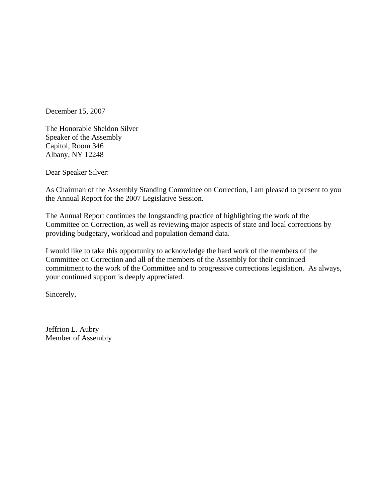December 15, 2007

The Honorable Sheldon Silver Speaker of the Assembly Capitol, Room 346 Albany, NY 12248

Dear Speaker Silver:

As Chairman of the Assembly Standing Committee on Correction, I am pleased to present to you the Annual Report for the 2007 Legislative Session.

The Annual Report continues the longstanding practice of highlighting the work of the Committee on Correction, as well as reviewing major aspects of state and local corrections by providing budgetary, workload and population demand data.

I would like to take this opportunity to acknowledge the hard work of the members of the Committee on Correction and all of the members of the Assembly for their continued commitment to the work of the Committee and to progressive corrections legislation. As always, your continued support is deeply appreciated.

Sincerely,

Jeffrion L. Aubry Member of Assembly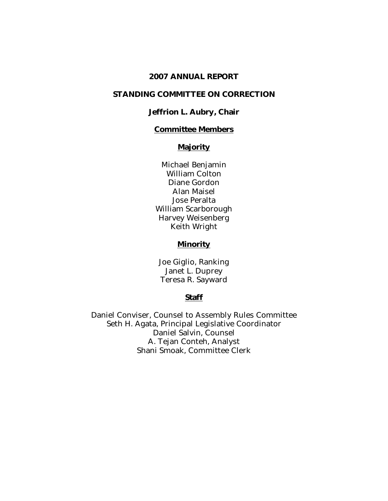#### 2007 ANNUAL REPORT

#### STANDING COMMITTEE ON CORRECTION

#### Jeffrion L. Aubry, Chair

#### Committee Members

## **Majority**

Michael Benjamin William Colton Diane Gordon Alan Maisel Jose Peralta William Scarborough Harvey Weisenberg Keith Wright

#### **Minority**

Joe Giglio, Ranking Janet L. Duprey Teresa R. Sayward

#### Staff

Daniel Conviser, Counsel to Assembly Rules Committee Seth H. Agata, Principal Legislative Coordinator Daniel Salvin, Counsel A. Tejan Conteh, Analyst Shani Smoak, Committee Clerk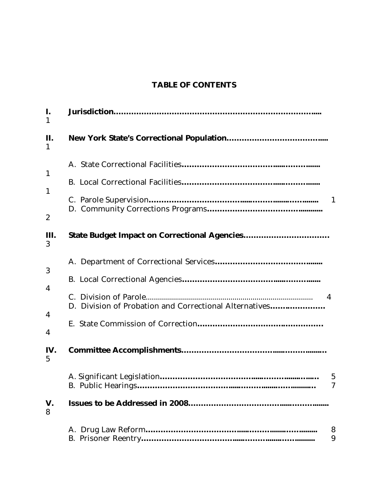# TABLE OF CONTENTS

| I.<br>$\mathbf{1}$                               |                                                             |                 |
|--------------------------------------------------|-------------------------------------------------------------|-----------------|
| П.<br>1                                          |                                                             |                 |
| $\mathbf{1}$<br>$\mathbf{1}$<br>$\boldsymbol{2}$ |                                                             | $\mathbf{1}$    |
| Ш.<br>3                                          | <b>State Budget Impact on Correctional Agencies</b>         |                 |
| 3<br>4<br>4<br>4                                 | 4<br>D. Division of Probation and Correctional Alternatives |                 |
| IV.<br>$\overline{5}$                            |                                                             | $\sqrt{5}$<br>7 |
| V.<br>8                                          |                                                             | 8               |
|                                                  |                                                             | 9               |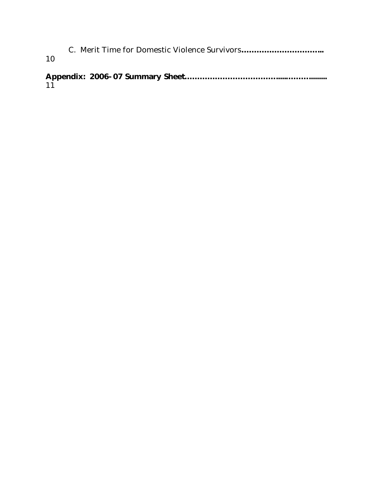C. Merit Time for Domestic Violence Survivors…………………………... 10

Appendix: 2006-07 Summary Sheet……………………………….....……….........  $11$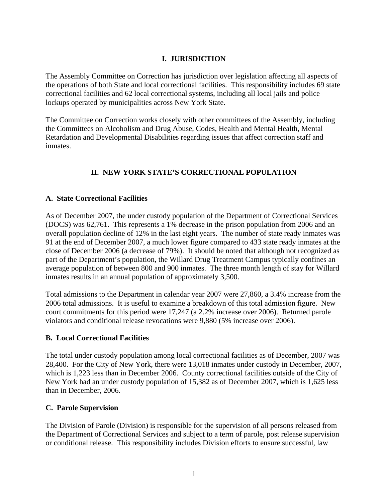#### **I. JURISDICTION**

The Assembly Committee on Correction has jurisdiction over legislation affecting all aspects of the operations of both State and local correctional facilities. This responsibility includes 69 state correctional facilities and 62 local correctional systems, including all local jails and police lockups operated by municipalities across New York State.

The Committee on Correction works closely with other committees of the Assembly, including the Committees on Alcoholism and Drug Abuse, Codes, Health and Mental Health, Mental Retardation and Developmental Disabilities regarding issues that affect correction staff and inmates.

### **II. NEW YORK STATE'S CORRECTIONAL POPULATION**

#### **A. State Correctional Facilities**

As of December 2007, the under custody population of the Department of Correctional Services (DOCS) was 62,761. This represents a 1% decrease in the prison population from 2006 and an overall population decline of 12% in the last eight years. The number of state ready inmates was 91 at the end of December 2007, a much lower figure compared to 433 state ready inmates at the close of December 2006 (a decrease of 79%). It should be noted that although not recognized as part of the Department's population, the Willard Drug Treatment Campus typically confines an average population of between 800 and 900 inmates. The three month length of stay for Willard inmates results in an annual population of approximately 3,500.

Total admissions to the Department in calendar year 2007 were 27,860, a 3.4% increase from the 2006 total admissions. It is useful to examine a breakdown of this total admission figure. New court commitments for this period were 17,247 (a 2.2% increase over 2006). Returned parole violators and conditional release revocations were 9,880 (5% increase over 2006).

#### **B. Local Correctional Facilities**

The total under custody population among local correctional facilities as of December, 2007 was 28,400. For the City of New York, there were 13,018 inmates under custody in December, 2007, which is 1,223 less than in December 2006. County correctional facilities outside of the City of New York had an under custody population of 15,382 as of December 2007, which is 1,625 less than in December, 2006.

#### **C. Parole Supervision**

The Division of Parole (Division) is responsible for the supervision of all persons released from the Department of Correctional Services and subject to a term of parole, post release supervision or conditional release. This responsibility includes Division efforts to ensure successful, law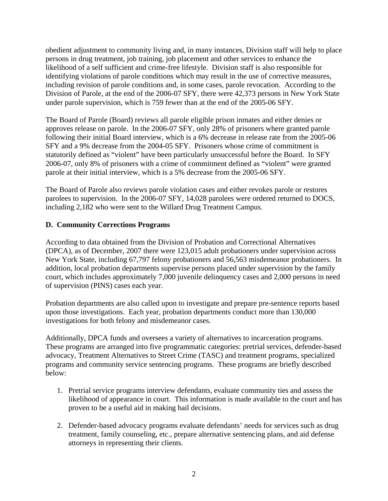obedient adjustment to community living and, in many instances, Division staff will help to place persons in drug treatment, job training, job placement and other services to enhance the likelihood of a self sufficient and crime-free lifestyle. Division staff is also responsible for identifying violations of parole conditions which may result in the use of corrective measures, including revision of parole conditions and, in some cases, parole revocation. According to the Division of Parole, at the end of the 2006-07 SFY, there were 42,373 persons in New York State under parole supervision, which is 759 fewer than at the end of the 2005-06 SFY.

The Board of Parole (Board) reviews all parole eligible prison inmates and either denies or approves release on parole. In the 2006-07 SFY, only 28% of prisoners where granted parole following their initial Board interview, which is a 6% decrease in release rate from the 2005-06 SFY and a 9% decrease from the 2004-05 SFY. Prisoners whose crime of commitment is statutorily defined as "violent" have been particularly unsuccessful before the Board. In SFY 2006-07, only 8% of prisoners with a crime of commitment defined as "violent" were granted parole at their initial interview, which is a 5% decrease from the 2005-06 SFY.

The Board of Parole also reviews parole violation cases and either revokes parole or restores parolees to supervision. In the 2006-07 SFY, 14,028 parolees were ordered returned to DOCS, including 2,182 who were sent to the Willard Drug Treatment Campus.

### **D. Community Corrections Programs**

According to data obtained from the Division of Probation and Correctional Alternatives (DPCA), as of December, 2007 there were 123,015 adult probationers under supervision across New York State, including 67,797 felony probationers and 56,563 misdemeanor probationers. In addition, local probation departments supervise persons placed under supervision by the family court, which includes approximately 7,000 juvenile delinquency cases and 2,000 persons in need of supervision (PINS) cases each year.

Probation departments are also called upon to investigate and prepare pre-sentence reports based upon those investigations. Each year, probation departments conduct more than 130,000 investigations for both felony and misdemeanor cases.

Additionally, DPCA funds and oversees a variety of alternatives to incarceration programs. These programs are arranged into five programmatic categories: pretrial services, defender-based advocacy, Treatment Alternatives to Street Crime (TASC) and treatment programs, specialized programs and community service sentencing programs. These programs are briefly described below:

- 1. Pretrial service programs interview defendants, evaluate community ties and assess the likelihood of appearance in court. This information is made available to the court and has proven to be a useful aid in making bail decisions.
- 2. Defender-based advocacy programs evaluate defendants' needs for services such as drug treatment, family counseling, etc., prepare alternative sentencing plans, and aid defense attorneys in representing their clients.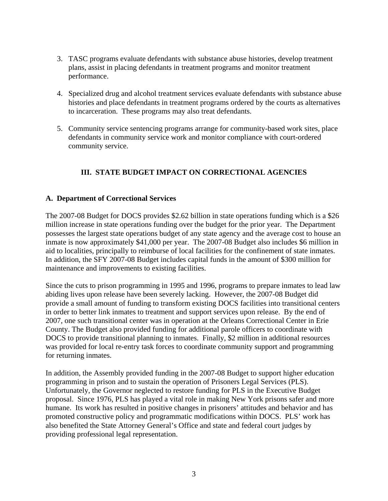- 3. TASC programs evaluate defendants with substance abuse histories, develop treatment plans, assist in placing defendants in treatment programs and monitor treatment performance.
- 4. Specialized drug and alcohol treatment services evaluate defendants with substance abuse histories and place defendants in treatment programs ordered by the courts as alternatives to incarceration. These programs may also treat defendants.
- 5. Community service sentencing programs arrange for community-based work sites, place defendants in community service work and monitor compliance with court-ordered community service.

# **III. STATE BUDGET IMPACT ON CORRECTIONAL AGENCIES**

#### **A. Department of Correctional Services**

The 2007-08 Budget for DOCS provides \$2.62 billion in state operations funding which is a \$26 million increase in state operations funding over the budget for the prior year. The Department possesses the largest state operations budget of any state agency and the average cost to house an inmate is now approximately \$41,000 per year. The 2007-08 Budget also includes \$6 million in aid to localities, principally to reimburse of local facilities for the confinement of state inmates. In addition, the SFY 2007-08 Budget includes capital funds in the amount of \$300 million for maintenance and improvements to existing facilities.

Since the cuts to prison programming in 1995 and 1996, programs to prepare inmates to lead law abiding lives upon release have been severely lacking. However, the 2007-08 Budget did provide a small amount of funding to transform existing DOCS facilities into transitional centers in order to better link inmates to treatment and support services upon release. By the end of 2007, one such transitional center was in operation at the Orleans Correctional Center in Erie County. The Budget also provided funding for additional parole officers to coordinate with DOCS to provide transitional planning to inmates. Finally, \$2 million in additional resources was provided for local re-entry task forces to coordinate community support and programming for returning inmates.

In addition, the Assembly provided funding in the 2007-08 Budget to support higher education programming in prison and to sustain the operation of Prisoners Legal Services (PLS). Unfortunately, the Governor neglected to restore funding for PLS in the Executive Budget proposal. Since 1976, PLS has played a vital role in making New York prisons safer and more humane. Its work has resulted in positive changes in prisoners' attitudes and behavior and has promoted constructive policy and programmatic modifications within DOCS. PLS' work has also benefited the State Attorney General's Office and state and federal court judges by providing professional legal representation.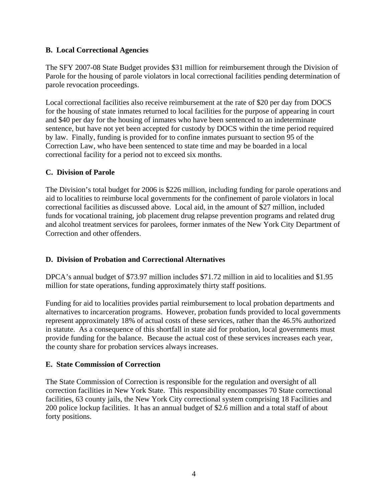#### **B. Local Correctional Agencies**

The SFY 2007-08 State Budget provides \$31 million for reimbursement through the Division of Parole for the housing of parole violators in local correctional facilities pending determination of parole revocation proceedings.

Local correctional facilities also receive reimbursement at the rate of \$20 per day from DOCS for the housing of state inmates returned to local facilities for the purpose of appearing in court and \$40 per day for the housing of inmates who have been sentenced to an indeterminate sentence, but have not yet been accepted for custody by DOCS within the time period required by law. Finally, funding is provided for to confine inmates pursuant to section 95 of the Correction Law, who have been sentenced to state time and may be boarded in a local correctional facility for a period not to exceed six months.

#### **C. Division of Parole**

The Division's total budget for 2006 is \$226 million, including funding for parole operations and aid to localities to reimburse local governments for the confinement of parole violators in local correctional facilities as discussed above. Local aid, in the amount of \$27 million, included funds for vocational training, job placement drug relapse prevention programs and related drug and alcohol treatment services for parolees, former inmates of the New York City Department of Correction and other offenders.

#### **D. Division of Probation and Correctional Alternatives**

DPCA's annual budget of \$73.97 million includes \$71.72 million in aid to localities and \$1.95 million for state operations, funding approximately thirty staff positions.

Funding for aid to localities provides partial reimbursement to local probation departments and alternatives to incarceration programs. However, probation funds provided to local governments represent approximately 18% of actual costs of these services, rather than the 46.5% authorized in statute. As a consequence of this shortfall in state aid for probation, local governments must provide funding for the balance. Because the actual cost of these services increases each year, the county share for probation services always increases.

#### **E. State Commission of Correction**

The State Commission of Correction is responsible for the regulation and oversight of all correction facilities in New York State. This responsibility encompasses 70 State correctional facilities, 63 county jails, the New York City correctional system comprising 18 Facilities and 200 police lockup facilities. It has an annual budget of \$2.6 million and a total staff of about forty positions.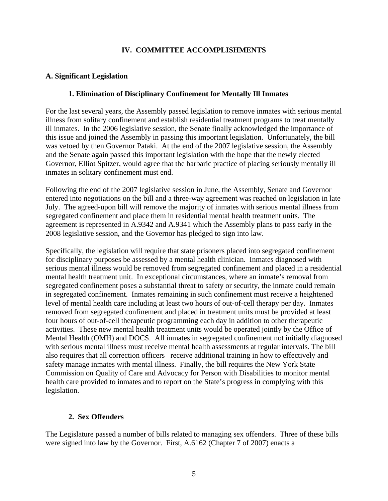#### **IV. COMMITTEE ACCOMPLISHMENTS**

#### **A. Significant Legislation**

#### **1. Elimination of Disciplinary Confinement for Mentally Ill Inmates**

For the last several years, the Assembly passed legislation to remove inmates with serious mental illness from solitary confinement and establish residential treatment programs to treat mentally ill inmates. In the 2006 legislative session, the Senate finally acknowledged the importance of this issue and joined the Assembly in passing this important legislation. Unfortunately, the bill was vetoed by then Governor Pataki. At the end of the 2007 legislative session, the Assembly and the Senate again passed this important legislation with the hope that the newly elected Governor, Elliot Spitzer, would agree that the barbaric practice of placing seriously mentally ill inmates in solitary confinement must end.

Following the end of the 2007 legislative session in June, the Assembly, Senate and Governor entered into negotiations on the bill and a three-way agreement was reached on legislation in late July. The agreed-upon bill will remove the majority of inmates with serious mental illness from segregated confinement and place them in residential mental health treatment units. The agreement is represented in A.9342 and A.9341 which the Assembly plans to pass early in the 2008 legislative session, and the Governor has pledged to sign into law.

Specifically, the legislation will require that state prisoners placed into segregated confinement for disciplinary purposes be assessed by a mental health clinician. Inmates diagnosed with serious mental illness would be removed from segregated confinement and placed in a residential mental health treatment unit. In exceptional circumstances, where an inmate's removal from segregated confinement poses a substantial threat to safety or security, the inmate could remain in segregated confinement. Inmates remaining in such confinement must receive a heightened level of mental health care including at least two hours of out-of-cell therapy per day. Inmates removed from segregated confinement and placed in treatment units must be provided at least four hours of out-of-cell therapeutic programming each day in addition to other therapeutic activities. These new mental health treatment units would be operated jointly by the Office of Mental Health (OMH) and DOCS. All inmates in segregated confinement not initially diagnosed with serious mental illness must receive mental health assessments at regular intervals. The bill also requires that all correction officers receive additional training in how to effectively and safety manage inmates with mental illness. Finally, the bill requires the New York State Commission on Quality of Care and Advocacy for Person with Disabilities to monitor mental health care provided to inmates and to report on the State's progress in complying with this legislation.

# **2. Sex Offenders**

The Legislature passed a number of bills related to managing sex offenders. Three of these bills were signed into law by the Governor. First, A.6162 (Chapter 7 of 2007) enacts a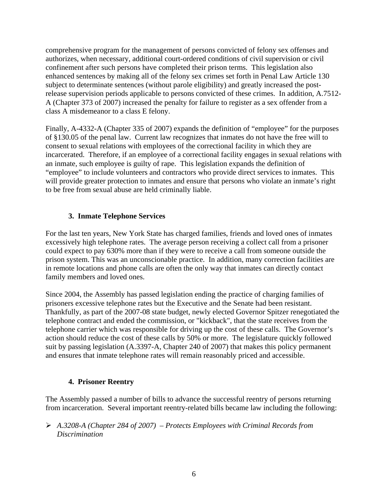comprehensive program for the management of persons convicted of felony sex offenses and authorizes, when necessary, additional court-ordered conditions of civil supervision or civil confinement after such persons have completed their prison terms. This legislation also enhanced sentences by making all of the felony sex crimes set forth in Penal Law Article 130 subject to determinate sentences (without parole eligibility) and greatly increased the postrelease supervision periods applicable to persons convicted of these crimes. In addition, A.7512- A (Chapter 373 of 2007) increased the penalty for failure to register as a sex offender from a class A misdemeanor to a class E felony.

Finally, A-4332-A (Chapter 335 of 2007) expands the definition of "employee" for the purposes of §130.05 of the penal law. Current law recognizes that inmates do not have the free will to consent to sexual relations with employees of the correctional facility in which they are incarcerated. Therefore, if an employee of a correctional facility engages in sexual relations with an inmate, such employee is guilty of rape. This legislation expands the definition of "employee" to include volunteers and contractors who provide direct services to inmates. This will provide greater protection to inmates and ensure that persons who violate an inmate's right to be free from sexual abuse are held criminally liable.

### **3. Inmate Telephone Services**

For the last ten years, New York State has charged families, friends and loved ones of inmates excessively high telephone rates. The average person receiving a collect call from a prisoner could expect to pay 630% more than if they were to receive a call from someone outside the prison system. This was an unconscionable practice. In addition, many correction facilities are in remote locations and phone calls are often the only way that inmates can directly contact family members and loved ones.

Since 2004, the Assembly has passed legislation ending the practice of charging families of prisoners excessive telephone rates but the Executive and the Senate had been resistant. Thankfully, as part of the 2007-08 state budget, newly elected Governor Spitzer renegotiated the telephone contract and ended the commission, or "kickback", that the state receives from the telephone carrier which was responsible for driving up the cost of these calls. The Governor's action should reduce the cost of these calls by 50% or more. The legislature quickly followed suit by passing legislation (A.3397-A, Chapter 240 of 2007) that makes this policy permanent and ensures that inmate telephone rates will remain reasonably priced and accessible.

#### **4. Prisoner Reentry**

The Assembly passed a number of bills to advance the successful reentry of persons returning from incarceration. Several important reentry-related bills became law including the following:

¾ *A.3208-A (Chapter 284 of 2007) – Protects Employees with Criminal Records from Discrimination*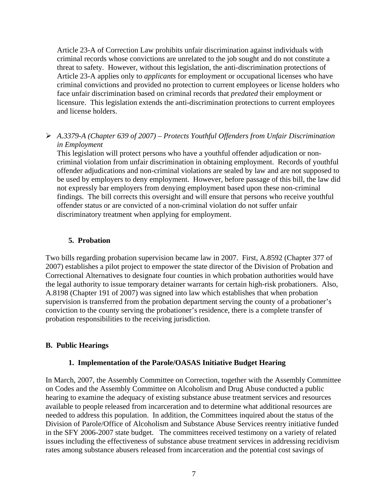Article 23-A of Correction Law prohibits unfair discrimination against individuals with criminal records whose convictions are unrelated to the job sought and do not constitute a threat to safety. However, without this legislation, the anti-discrimination protections of Article 23-A applies only to *applicants* for employment or occupational licenses who have criminal convictions and provided no protection to current employees or license holders who face unfair discrimination based on criminal records that *predated* their employment or licensure. This legislation extends the anti-discrimination protections to current employees and license holders.

#### ¾ *A.3379-A (Chapter 639 of 2007) – Protects Youthful Offenders from Unfair Discrimination in Employment*

This legislation will protect persons who have a youthful offender adjudication or noncriminal violation from unfair discrimination in obtaining employment. Records of youthful offender adjudications and non-criminal violations are sealed by law and are not supposed to be used by employers to deny employment. However, before passage of this bill, the law did not expressly bar employers from denying employment based upon these non-criminal findings. The bill corrects this oversight and will ensure that persons who receive youthful offender status or are convicted of a non-criminal violation do not suffer unfair discriminatory treatment when applying for employment.

### **5. Probation**

Two bills regarding probation supervision became law in 2007. First, A.8592 (Chapter 377 of 2007) establishes a pilot project to empower the state director of the Division of Probation and Correctional Alternatives to designate four counties in which probation authorities would have the legal authority to issue temporary detainer warrants for certain high-risk probationers. Also, A.8198 (Chapter 191 of 2007) was signed into law which establishes that when probation supervision is transferred from the probation department serving the county of a probationer's conviction to the county serving the probationer's residence, there is a complete transfer of probation responsibilities to the receiving jurisdiction.

#### **B. Public Hearings**

#### **1. Implementation of the Parole/OASAS Initiative Budget Hearing**

In March, 2007, the Assembly Committee on Correction, together with the Assembly Committee on Codes and the Assembly Committee on Alcoholism and Drug Abuse conducted a public hearing to examine the adequacy of existing substance abuse treatment services and resources available to people released from incarceration and to determine what additional resources are needed to address this population. In addition, the Committees inquired about the status of the Division of Parole/Office of Alcoholism and Substance Abuse Services reentry initiative funded in the SFY 2006-2007 state budget. The committees received testimony on a variety of related issues including the effectiveness of substance abuse treatment services in addressing recidivism rates among substance abusers released from incarceration and the potential cost savings of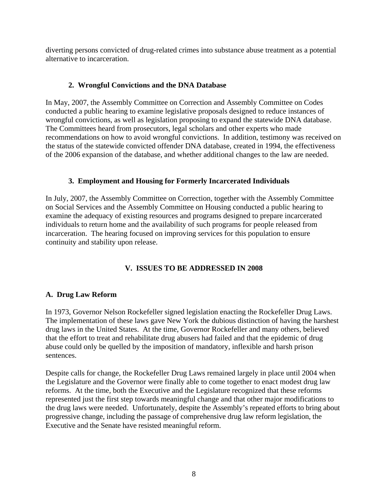diverting persons convicted of drug-related crimes into substance abuse treatment as a potential alternative to incarceration.

### **2. Wrongful Convictions and the DNA Database**

In May, 2007, the Assembly Committee on Correction and Assembly Committee on Codes conducted a public hearing to examine legislative proposals designed to reduce instances of wrongful convictions, as well as legislation proposing to expand the statewide DNA database. The Committees heard from prosecutors, legal scholars and other experts who made recommendations on how to avoid wrongful convictions. In addition, testimony was received on the status of the statewide convicted offender DNA database, created in 1994, the effectiveness of the 2006 expansion of the database, and whether additional changes to the law are needed.

# **3. Employment and Housing for Formerly Incarcerated Individuals**

In July, 2007, the Assembly Committee on Correction, together with the Assembly Committee on Social Services and the Assembly Committee on Housing conducted a public hearing to examine the adequacy of existing resources and programs designed to prepare incarcerated individuals to return home and the availability of such programs for people released from incarceration. The hearing focused on improving services for this population to ensure continuity and stability upon release.

# **V. ISSUES TO BE ADDRESSED IN 2008**

# **A. Drug Law Reform**

In 1973, Governor Nelson Rockefeller signed legislation enacting the Rockefeller Drug Laws. The implementation of these laws gave New York the dubious distinction of having the harshest drug laws in the United States. At the time, Governor Rockefeller and many others, believed that the effort to treat and rehabilitate drug abusers had failed and that the epidemic of drug abuse could only be quelled by the imposition of mandatory, inflexible and harsh prison sentences.

Despite calls for change, the Rockefeller Drug Laws remained largely in place until 2004 when the Legislature and the Governor were finally able to come together to enact modest drug law reforms. At the time, both the Executive and the Legislature recognized that these reforms represented just the first step towards meaningful change and that other major modifications to the drug laws were needed. Unfortunately, despite the Assembly's repeated efforts to bring about progressive change, including the passage of comprehensive drug law reform legislation, the Executive and the Senate have resisted meaningful reform.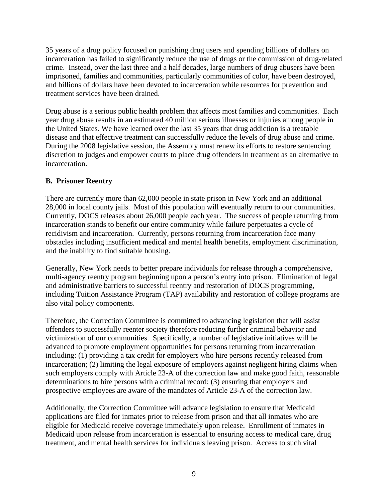35 years of a drug policy focused on punishing drug users and spending billions of dollars on incarceration has failed to significantly reduce the use of drugs or the commission of drug-related crime. Instead, over the last three and a half decades, large numbers of drug abusers have been imprisoned, families and communities, particularly communities of color, have been destroyed, and billions of dollars have been devoted to incarceration while resources for prevention and treatment services have been drained.

Drug abuse is a serious public health problem that affects most families and communities. Each year drug abuse results in an estimated 40 million serious illnesses or injuries among people in the United States. We have learned over the last 35 years that drug addiction is a treatable disease and that effective treatment can successfully reduce the levels of drug abuse and crime. During the 2008 legislative session, the Assembly must renew its efforts to restore sentencing discretion to judges and empower courts to place drug offenders in treatment as an alternative to incarceration.

### **B. Prisoner Reentry**

There are currently more than 62,000 people in state prison in New York and an additional 28,000 in local county jails. Most of this population will eventually return to our communities. Currently, DOCS releases about 26,000 people each year. The success of people returning from incarceration stands to benefit our entire community while failure perpetuates a cycle of recidivism and incarceration. Currently, persons returning from incarceration face many obstacles including insufficient medical and mental health benefits, employment discrimination, and the inability to find suitable housing.

Generally, New York needs to better prepare individuals for release through a comprehensive, multi-agency reentry program beginning upon a person's entry into prison. Elimination of legal and administrative barriers to successful reentry and restoration of DOCS programming, including Tuition Assistance Program (TAP) availability and restoration of college programs are also vital policy components.

Therefore, the Correction Committee is committed to advancing legislation that will assist offenders to successfully reenter society therefore reducing further criminal behavior and victimization of our communities. Specifically, a number of legislative initiatives will be advanced to promote employment opportunities for persons returning from incarceration including: (1) providing a tax credit for employers who hire persons recently released from incarceration; (2) limiting the legal exposure of employers against negligent hiring claims when such employers comply with Article 23-A of the correction law and make good faith, reasonable determinations to hire persons with a criminal record; (3) ensuring that employers and prospective employees are aware of the mandates of Article 23-A of the correction law.

Additionally, the Correction Committee will advance legislation to ensure that Medicaid applications are filed for inmates prior to release from prison and that all inmates who are eligible for Medicaid receive coverage immediately upon release. Enrollment of inmates in Medicaid upon release from incarceration is essential to ensuring access to medical care, drug treatment, and mental health services for individuals leaving prison. Access to such vital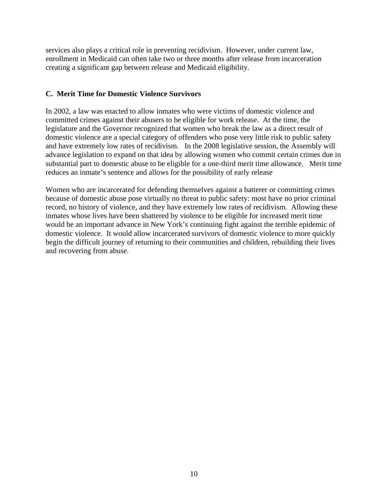services also plays a critical role in preventing recidivism. However, under current law, enrollment in Medicaid can often take two or three months after release from incarceration creating a significant gap between release and Medicaid eligibility.

#### **C. Merit Time for Domestic Violence Survivors**

In 2002, a law was enacted to allow inmates who were victims of domestic violence and committed crimes against their abusers to be eligible for work release. At the time, the legislature and the Governor recognized that women who break the law as a direct result of domestic violence are a special category of offenders who pose very little risk to public safety and have extremely low rates of recidivism. In the 2008 legislative session, the Assembly will advance legislation to expand on that idea by allowing women who commit certain crimes due in substantial part to domestic abuse to be eligible for a one-third merit time allowance. Merit time reduces an inmate's sentence and allows for the possibility of early release

Women who are incarcerated for defending themselves against a batterer or committing crimes because of domestic abuse pose virtually no threat to public safety: most have no prior criminal record, no history of violence, and they have extremely low rates of recidivism. Allowing these inmates whose lives have been shattered by violence to be eligible for increased merit time would be an important advance in New York's continuing fight against the terrible epidemic of domestic violence. It would allow incarcerated survivors of domestic violence to more quickly begin the difficult journey of returning to their communities and children, rebuilding their lives and recovering from abuse.